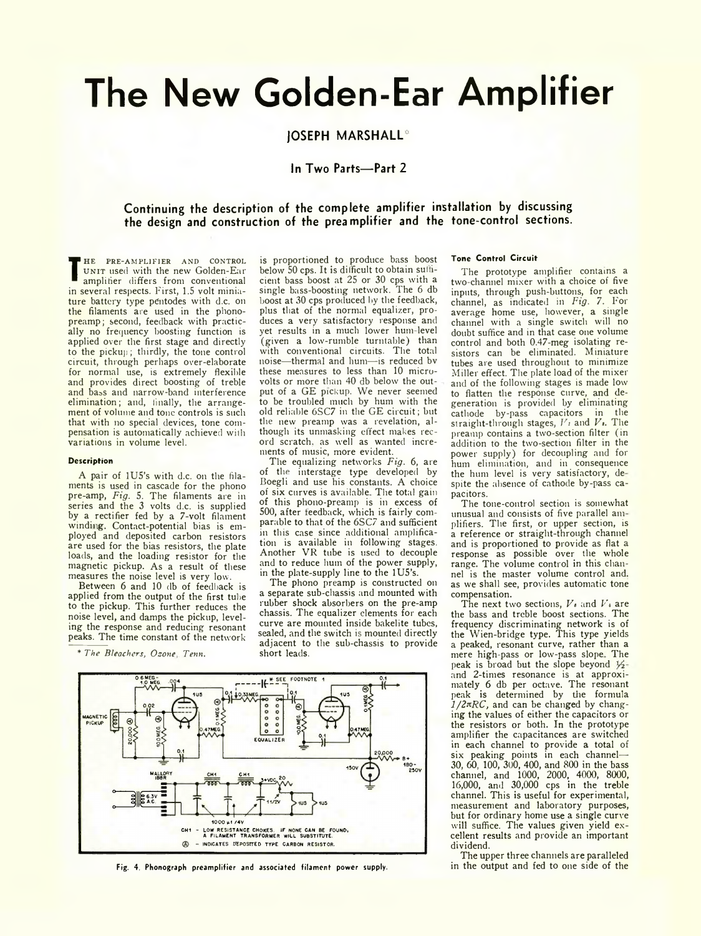# **The New Golden-Ear Amplifier**

# **JOSEPH M ARSHALL\***

## **In Two Parts— Part 2**

# **Continuing the description of the complete amplifier installation by discussing the design and construction of the preamplifier and the tone-control sections.**

**TE UNIT used with the new Golden-Ear**<br> **TERM** amplifier differs from conventional<br>
in several respects. First, 1.5 volt minia-HE PRE-AMPLIFIER AND CONTROL UNIT used with the new Golden-Ear amplifier differs from conventional ture battery type pentodes with d.c. on the filaments are used in the phonopreamp; second, feedback with practically no frequency boosting function is applied over the first stage and directly to the pickup; thirdly, the tone control circuit, through perhaps over-elaborate for normal use, is extremely flexible and provides direct boosting of treble and bass and narrow-band interference elimination; and, finally, the arrangement of volume and tone controls is such that with no special devices, tone compensation is automatically achieved with variations in volume level.

#### **Description**

A pair of lU5's with d.c. on the filaments is used in cascade for the phono pre-amp, *Fig.* 5. The filaments are in series and the 3 volts d.c. is supplied by a rectifier fed by a 7-volt filament winding. Contact-potential bias is employed and deposited carbon resistors are used for the bias resistors, the plate loads, and the loading resistor for the magnetic pickup. As a result of these measures the noise level is very low.

Between 6 and 10 db of feedback is applied from the output of the first tube to the pickup. This further reduces the noise level, and damps the pickup, leveling the response and reducing resonant peaks. The time constant of the network

\* *The Bleachers, Ozone Tenn.*

is proportioned to produce bass boost below 50 cps. It is difficult to obtain sufficient bass boost at 25 or 30 cps with a single bass-boosting network. The 6 db boost at 30 cps produced by the feedback, plus that of the normal equalizer, produces a very satisfactory response and yet results in a much lower hum level (given a low-rumble turntable) than with conventional circuits. The total noise—thermal and hum—is reduced bv these measures to less than 10 microvolts or more than 40 db below the output of a GE pickup. We never seemed to be troubled much by hum with the old reliable 6SC7 in the GE circuit; but the new preamp was a revelation, although its unmasking effect makes record scratch, as well as wanted increments of music, more evident.

The equalizing networks *Fig.* 6, are of the interstage type developed by Boegli and use his constants. A choice of six curves is available The total gain of this phono-preamp is in excess of 500, after feedback, which is fairly comparable to that of the 6SC7 and sufficient in this case since additional amplification is available in following stages. Another VR tube is used to decouple and to reduce hum of the power supply, in the plate-supply line to the 1U5's.

The phono preamp is constructed on a separate sub-chassis and mounted with rubber shock absorbers on the pre-amp chassis. The equalizer elements for each curve are mounted inside bakelite tubes, sealed, and the switch is mounted directly adjacent to the sub-chassis to provide short leads.



Fig. 4. Phonograph preamplifier and associated filament power supply.

## **Tone Control Circuit**

The prototype amplifier contains a two-channel mixer with a choice of five inputs, through push-buttons, for each channel, as indicated in *Fig.* 7. For average home use, however, a single channel with a single switch will no doubt suffice and in that case one volume control and both 0.47-meg isolating resistors can be eliminated. Miniature tubes are used throughout to minimize Miller effect. The plate load of the mixer and of the following stages is made low to flatten the response curve, and degeneration is provided by eliminating cathode by-pass capacitors in the straight-through stages,  $V_1$  and  $V_2$ . The preamp contains a two-section filter (in addition to the two-section filter in the power supply) for decoupling and for hum elimination, and in consequence the hum level is very satisfactory, despite the absence of cathode by-pass capacitors.

The tone-control section is somewhat unusual and consists of five parallel amplifiers. The first, or upper section, is a reference or straight-through channel and is proportioned to provide as flat a response as possible over the whole range. The volume control in this channel is the master volume control and. as we shall see, provides automatic tone compensation.

The next two sections,  $V_i$  and  $V_i$  are the bass and treble boost sections. The frequency discriminating network is of the Wien-bridge type. This type yields a peaked, resonant curve, rather than a mere high-pass or low-pass slope The peak is broad but the slope beyond  $V_2$ and 2-times resonance is at approximately 6 db per octave. The resonant peak is determined by the formula *l/2nRC,* and can be changed by changing the values of either the capacitors or the resistors or both. In the prototype amplifier the capacitances are switched in each channel to provide a total of six peaking points in each channel-30, 60, 100, 300, 400, and 800 in the bass channel, and 1000, 2000, 4000, 8000, 16,000, and 30,000 cps in the treble channel. This is useful for experimental, measurement and laboratory purposes, but for ordinary home use a single curve will suffice. The values given yield excellent results and provide an important dividend.

The upper three channels are paralleled<br>in the output and fed to one side of the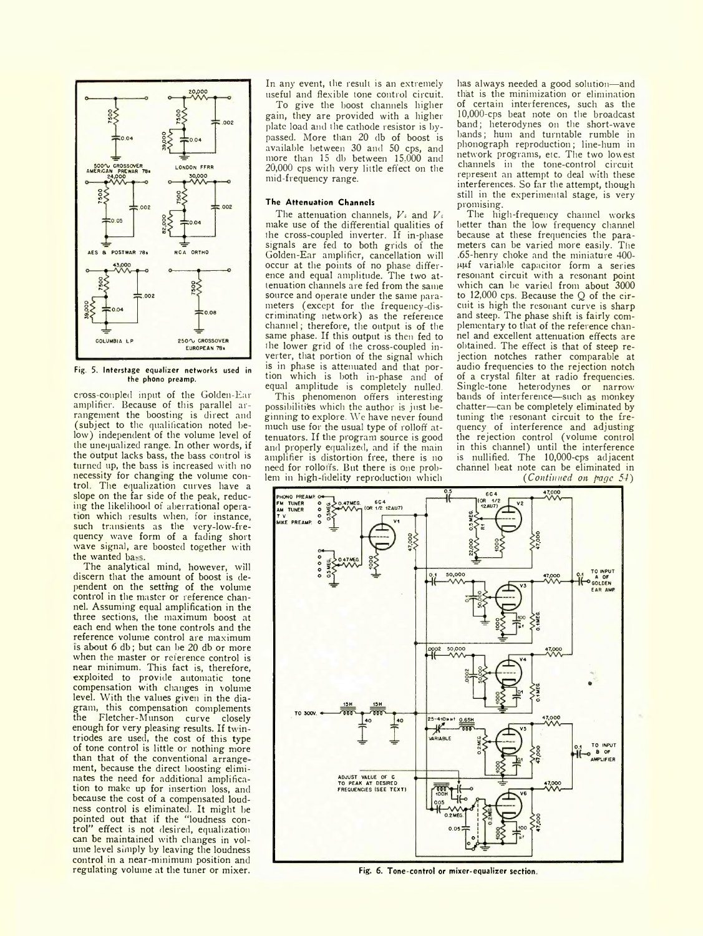

Fig. 5. Interstage equalizer networks used in the phono preamp.

cioss-coupled input of the Golden-Ear amplifier. Because of this parallel arrangement the boosting is direct and (subject to the qualification noted below) independent of the volume level of the unequalized range. In other words, if the output lacks bass, the bass control is turned up, the bass is increased with no necessity for changing the volume control The equalization curves have a slope on the far side of the peak, reducing the likelihood of aberrational operation which results when, for instance, such transients as the very-low-frequency wave form of a fading short wave signal, are boosted together with the wanted bass.

The analytical mind, however, will discern that the amount of boost is dependent on the setting of the volume control in the master or reference channel. Assuming equal amplification in the three sections, the maximum boost at each end when the tone controls and the reference volume control are maximum is about 6 db; but can be 20 db or more when the master or reference control is near minimum. This fact is, therefore, exploited to provide automatic tone compensation with changes in volume level. With the values given in the diagram, this compensation complements the Fletcher-Munson curve closely enough for very pleasing results. If twintriodes are used, the cost of this type of tone control is little or nothing more than that of the conventional arrange ment, because the direct boosting eliminates the need for additional amplification to make up for insertion loss, and because the cost of a compensated loudness control is eliminated. It might be pointed out that if the "loudness control" effect is not desired, equalization can be maintained with changes in volume level simply by leaving the loudness control in a near-minimum position and regulating volume at the tuner or mixer.

In any event, the result is an extremely useful and flexible tone control circuit.

To give the boost channels higher gain, they are provided with a higher plate load and the cathode resistor is bypassed. More than 20 db of boost is available between 30 and 50 cps, and more than 15 db between 15.000 and 20,000 cps with very little effect on the mid-frequency range.

## **The Attenuation Channels**

The attenuation channels, *Vi* and *Vo* make use of the differential qualities of the cross-coupled inverter. If in-phase signals are fed to both grids of the Golden-Ear amplifier, cancellation will occur at the points of no phase difference and equal amplitude. The two attenuation channels are fed from the same source and operate under the same parameters (except for the frequency-discriminating network) as the reference channel; therefore, the output is of the same phase. If this output is then fed to the lower grid of the cross-coupled inverter, that portion of the signal which is in phase is attenuated and that portion which is both in-phase and of equal amplitude is completely nulled.

This phenomenon offers interesting possibilities which the author is just beginning to explore. We have never found much use for the usual type of rolloff attenuators. If the program source is good and properly equalized, and if the main amplifier is distortion free, there is no need for rolloffs. But there is one problem in high-fidelity reproduction which

has always needed a good solution—and that is the minimization or elimination of certain interferences, such as the 10,000-cps beat note on the broadcast band; heterodynes on the short-wave bands; hum and turntable rumble in phonograph reproduction; line-hum in network programs, etc. The two lowest channels in the tone-control circuit represent an attempt to deal with these interferences. So far the attempt, though still in the experimental stage, is very promising.

The high-frequency channel works better than the low frequency channel because at these frequencies the parameters can be varied more easily. The .65-henry choke and the miniature 400 ppf variable capacitor form a series resonant circuit with a resonant point which can be varied from about 3000 to 12,000 cps. Because the Q of the circuit is high the resonant curve is sharp and steep. The phase shift is fairly complementary to that of the reference channel and excellent attenuation effects are obtained. The effect is that of steep rejection notches rather comparable at audio frequencies to the rejection notch of a crystal filter at radio frequencies. Single-tone heterodynes or narrow bands of interference—such as monkey chatter—can be completely eliminated by tuning the resonant circuit to the frequency of interference and adjusting the rejection control (volume control in this channel) until the interference is nullified. The 10,000-cps adjacent channel beat note can be eliminated in *( Continued on page 54)*



Fig. 6. Tone-control or mixer-equalizer section.